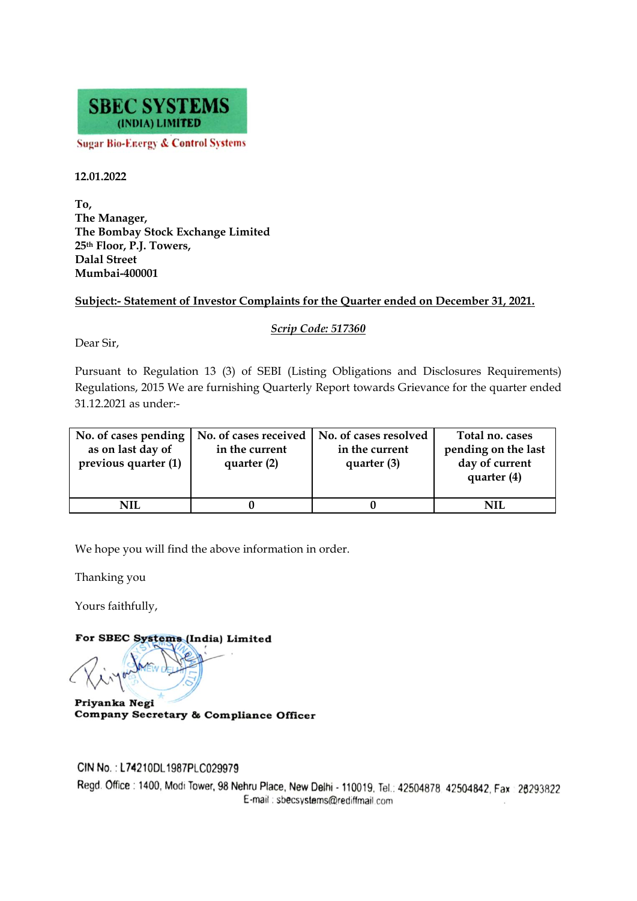

**Sugar Bio-Energy & Control Systems** 

## **12.01.2022**

**To, The Manager, The Bombay Stock Exchange Limited 25th Floor, P.J. Towers, Dalal Street Mumbai-400001** 

## **Subject:- Statement of Investor Complaints for the Quarter ended on December 31, 2021.**

*Scrip Code: 517360* 

Dear Sir,

Pursuant to Regulation 13 (3) of SEBI (Listing Obligations and Disclosures Requirements) Regulations, 2015 We are furnishing Quarterly Report towards Grievance for the quarter ended 31.12.2021 as under:-

| No. of cases pending<br>as on last day of<br>previous quarter (1) | No. of cases received<br>in the current<br>quarter (2) | No. of cases resolved<br>in the current<br>quarter (3) | Total no. cases<br>pending on the last<br>day of current<br>quarter (4) |
|-------------------------------------------------------------------|--------------------------------------------------------|--------------------------------------------------------|-------------------------------------------------------------------------|
| NIL                                                               |                                                        |                                                        | NH                                                                      |

We hope you will find the above information in order.

Thanking you

Yours faithfully,

For SBEC Systems (India) Limited

Priyanka Negi Company Secretary & Compliance Officer

CIN No.: L74210DL1987PLC029979

Regd. Office: 1400, Modi Tower, 98 Nehru Place, New Delhi - 110019, Tel.: 42504878, 42504842, Fax: 26293822 E-mail: sbecsystems@rediffmail.com